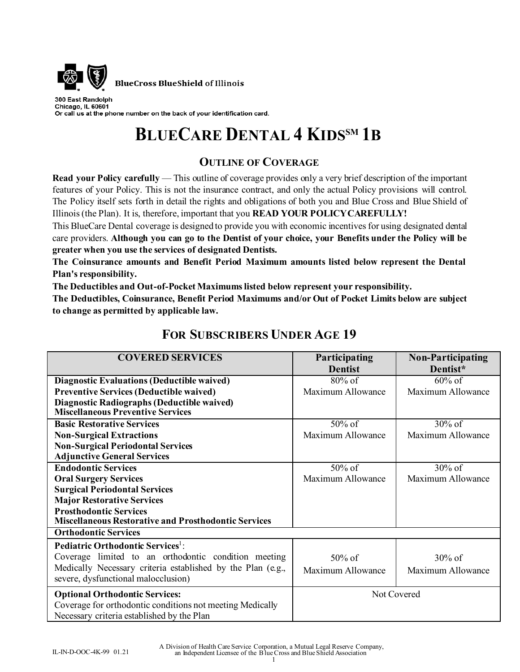

**BlueCross BlueShield of Illinois** 

300 East Randolph Chicago, IL 60601 Or call us at the phone number on the back of your identification card.

# **BLUECARE DENTAL 4 KIDS<sup>SM</sup> 1B**

# **OUTLINE OF COVERAGE**

**Read your Policy carefully** — This outline of coverage provides only a very brief description of the important features of your Policy. This is not the insurance contract, and only the actual Policy provisions will control. The Policy itself sets forth in detail the rights and obligations of both you and Blue Cross and Blue Shield of Illinois (the Plan). It is, therefore, important that you **READ YOUR POLICY CAREFULLY!** 

This BlueCare Dental coverage is designed to provide you with economic incentives for using designated dental care providers. **Although you can go to the Dentist of your choice, your Benefits under the Policy will be greater when you use the services of designated Dentists.** 

**The Coinsurance amounts and Benefit Period Maximum amounts listed below represent the Dental Plan's responsibility.** 

**The Deductibles and Out-of-Pocket Maximums listed below represent your responsibility.** 

**The Deductibles, Coinsurance, Benefit Period Maximums and/or Out of Pocket Limits below are subject to change as permitted by applicable law.** 

| <b>COVERED SERVICES</b>                                                                                                                                                                                                                 | Participating<br><b>Dentist</b> | <b>Non-Participating</b><br>Dentist* |
|-----------------------------------------------------------------------------------------------------------------------------------------------------------------------------------------------------------------------------------------|---------------------------------|--------------------------------------|
| <b>Diagnostic Evaluations (Deductible waived)</b><br><b>Preventive Services (Deductible waived)</b><br>Diagnostic Radiographs (Deductible waived)<br><b>Miscellaneous Preventive Services</b>                                           | $80\%$ of<br>Maximum Allowance  | $60\%$ of<br>Maximum Allowance       |
| <b>Basic Restorative Services</b><br><b>Non-Surgical Extractions</b><br><b>Non-Surgical Periodontal Services</b><br><b>Adjunctive General Services</b>                                                                                  | 50% of<br>Maximum Allowance     | 30% of<br>Maximum Allowance          |
| <b>Endodontic Services</b><br><b>Oral Surgery Services</b><br><b>Surgical Periodontal Services</b><br><b>Major Restorative Services</b><br><b>Prosthodontic Services</b><br><b>Miscellaneous Restorative and Prosthodontic Services</b> | 50% of<br>Maximum Allowance     | $30\%$ of<br>Maximum Allowance       |
| <b>Orthodontic Services</b>                                                                                                                                                                                                             |                                 |                                      |
| Pediatric Orthodontic Services <sup>1</sup> :<br>Coverage limited to an orthodontic condition meeting<br>Medically Necessary criteria established by the Plan (e.g.,<br>severe, dysfunctional malocclusion)                             | 50% of<br>Maximum Allowance     | $30\%$ of<br>Maximum Allowance       |
| <b>Optional Orthodontic Services:</b><br>Coverage for orthodontic conditions not meeting Medically<br>Necessary criteria established by the Plan                                                                                        | Not Covered                     |                                      |

# **FOR SUBSCRIBERS UNDER AGE 19**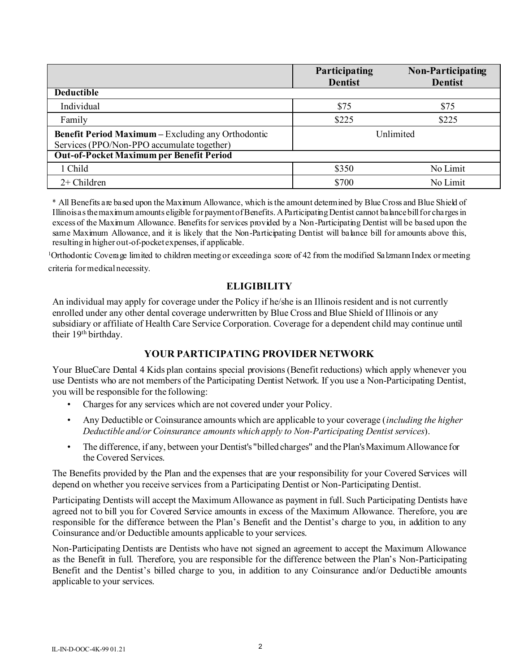|                                                                                                         | Participating<br><b>Dentist</b> | Non-Participating<br><b>Dentist</b> |
|---------------------------------------------------------------------------------------------------------|---------------------------------|-------------------------------------|
| <b>Deductible</b>                                                                                       |                                 |                                     |
| Individual                                                                                              | \$75                            | \$75                                |
| Family                                                                                                  | \$225                           | \$225                               |
| <b>Benefit Period Maximum - Excluding any Orthodontic</b><br>Services (PPO/Non-PPO accumulate together) | Unlimited                       |                                     |
| <b>Out-of-Pocket Maximum per Benefit Period</b>                                                         |                                 |                                     |
| 1 Child                                                                                                 | \$350                           | No Limit                            |
| $2+$ Children                                                                                           | \$700                           | No Limit                            |

\* All Benefits are based upon the Maximum Allowance, which is the amount determined by Blue Cross and Blue Shield of Illinois as the maximum amounts eligible for payment of Benefits. A Participating Dentist cannot balance bill for charges in excess of the Maximum Allowance. Benefits for services provided by a Non-Participating Dentist will be based upon the same Maximum Allowance, and it is likely that the Non-Participating Dentist will balance bill for amounts above this, resulting in higher out-of-pocket expenses, if applicable.

1Orthodontic Coverage limited to children meeting or exceeding a score of 42 from the modified Salzmann Index or meeting criteria for medical necessity.

### **ELIGIBILITY**

An individual may apply for coverage under the Policy if he/she is an Illinois resident and is not currently enrolled under any other dental coverage underwritten by Blue Cross and Blue Shield of Illinois or any subsidiary or affiliate of Health Care Service Corporation. Coverage for a dependent child may continue until their 19<sup>th</sup> birthday.

## **YOUR PARTICIPATING PROVIDER NETWORK**

Your BlueCare Dental 4 Kids plan contains special provisions (Benefit reductions) which apply whenever you use Dentists who are not members of the Participating Dentist Network. If you use a Non-Participating Dentist, you will be responsible for the following:

- Charges for any services which are not covered under your Policy.
- Any Deductible or Coinsurance amounts which are applicable to your coverage (*including the higher Deductible and/or Coinsurance amounts which apply to Non-Participating Dentist services*).
- The difference, if any, between your Dentist's "billed charges" and the Plan's Maximum Allowance for the Covered Services.

The Benefits provided by the Plan and the expenses that are your responsibility for your Covered Services will depend on whether you receive services from a Participating Dentist or Non-Participating Dentist.

Participating Dentists will accept the Maximum Allowance as payment in full. Such Participating Dentists have agreed not to bill you for Covered Service amounts in excess of the Maximum Allowance. Therefore, you are responsible for the difference between the Plan's Benefit and the Dentist's charge to you, in addition to any Coinsurance and/or Deductible amounts applicable to your services.

Non-Participating Dentists are Dentists who have not signed an agreement to accept the Maximum Allowance as the Benefit in full. Therefore, you are responsible for the difference between the Plan's Non-Participating Benefit and the Dentist's billed charge to you, in addition to any Coinsurance and/or Deductible amounts applicable to your services.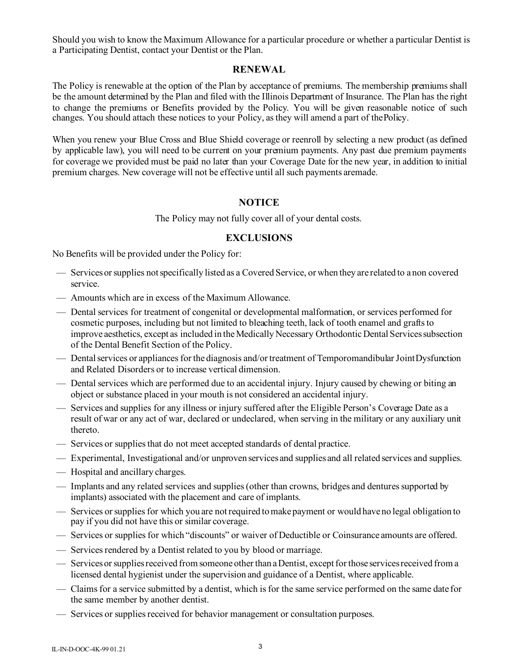Should you wish to know the Maximum Allowance for a particular procedure or whether a particular Dentist is a Participating Dentist, contact your Dentist or the Plan.

#### **RENEWAL**

The Policy is renewable at the option of the Plan by acceptance of premiums. The membership premiums shall be the amount determined by the Plan and filed with the Illinois Department of Insurance. The Plan has the right to change the premiums or Benefits provided by the Policy. You will be given reasonable notice of such changes. You should attach these notices to your Policy, as they will amend a part of the Policy.

When you renew your Blue Cross and Blue Shield coverage or reenroll by selecting a new product (as defined by applicable law), you will need to be current on your premium payments. Any past due premium payments for coverage we provided must be paid no later than your Coverage Date for the new year, in addition to initial premium charges. New coverage will not be effective until all such payments aremade.

#### **NOTICE**

The Policy may not fully cover all of your dental costs.

#### **EXCLUSIONS**

No Benefits will be provided under the Policy for:

- Services or supplies not specifically listed as a Covered Service, or when they are related to a non covered service.
- Amounts which are in excess of the Maximum Allowance.
- Dental services for treatment of congenital or developmental malformation, or services performed for cosmetic purposes, including but not limited to bleaching teeth, lack of tooth enamel and grafts to improve aesthetics, except as included in the Medically Necessary Orthodontic Dental Services subsection of the Dental Benefit Section of the Policy.
- Dental services or appliances for the diagnosis and/or treatment of Temporomandibular Joint Dysfunction and Related Disorders or to increase vertical dimension.
- Dental services which are performed due to an accidental injury. Injury caused by chewing or biting an object or substance placed in your mouth is not considered an accidental injury.
- Services and supplies for any illness or injury suffered after the Eligible Person's Coverage Date as a result of war or any act of war, declared or undeclared, when serving in the military or any auxiliary unit thereto.
- Services or supplies that do not meet accepted standards of dental practice.
- Experimental, Investigational and/or unproven services and supplies and all related services and supplies.
- Hospital and ancillary charges.
- Implants and any related services and supplies (other than crowns, bridges and dentures supported by implants) associated with the placement and care of implants.
- Services or supplies for which you are not required to make payment or would have no legal obligation to pay if you did not have this or similar coverage.
- Services or supplies for which "discounts" or waiver of Deductible or Coinsurance amounts are offered.
- Services rendered by a Dentist related to you by blood or marriage.
- Services or supplies received from someone other than a Dentist, except for those services received from a licensed dental hygienist under the supervision and guidance of a Dentist, where applicable.
- Claims for a service submitted by a dentist, which is for the same service performed on the same date for the same member by another dentist.
- Services or supplies received for behavior management or consultation purposes.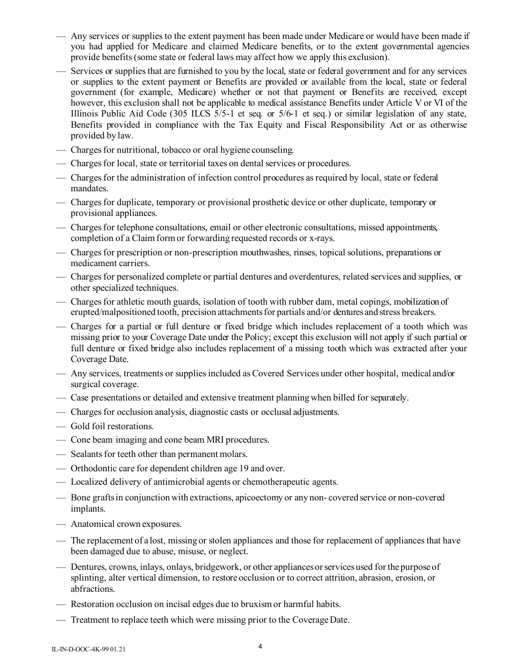- Any services or supplies to the extent payment has been made under Medicare or would have been made if you had applied for Medicare and claimed Medicare benefits, or to the extent governmental agencies provide benefits (some state or federal laws may affect how we apply this exclusion).
- Services or supplies that are furnished to you by the local, state or federal government and for any services or supplies to the extent payment or Benefits are provided or available from the local, state or federal government (for example, Medicare) whether or not that payment or Benefits are received, except however, this exclusion shall not be applicable to medical assistance Benefits under Article V or VI of the Illinois Public Aid Code (305 ILCS 5/5-1 et seq. or 5/6-1 et seq.) or similar legislation of any state, Benefits provided in compliance with the Tax Equity and Fiscal Responsibility Act or as otherwise provided by law.
- Charges for nutritional, tobacco or oral hygiene counseling.
- Charges for local, state or territorial taxes on dental services or procedures.
- Charges for the administration of infection control procedures as required by local, state or federal mandates.
- Charges for duplicate, temporary or provisional prosthetic device or other duplicate, temporary or provisional appliances.
- Charges for telephone consultations, email or other electronic consultations, missed appointments, completion of a Claim form or forwarding requested records or x-rays.
- Charges for prescription or non-prescription mouthwashes, rinses, topical solutions, preparations or medicament carriers.
- Charges for personalized complete or partial dentures and overdentures, related services and supplies, or other specialized techniques.
- Charges for athletic mouth guards, isolation of tooth with rubber dam, metal copings, mobilization of erupted/malpositioned tooth, precision attachments for partials and/or dentures and stress breakers.
- Charges for a partial or full denture or fixed bridge which includes replacement of a tooth which was missing prior to your Coverage Date under the Policy; except this exclusion will not apply if such partial or full denture or fixed bridge also includes replacement of a missing tooth which was extracted after your Coverage Date.
- Any services, treatments or supplies included as Covered Services under other hospital, medical and/or surgical coverage.
- Case presentations or detailed and extensive treatment planning when billed for separately.
- Charges for occlusion analysis, diagnostic casts or occlusal adjustments.
- Gold foil restorations.
- Cone beam imaging and cone beam MRI procedures.
- Sealants for teeth other than permanent molars.
- Orthodontic care for dependent children age 19 and over.
- Localized delivery of antimicrobial agents or chemotherapeutic agents.
- Bone grafts in conjunction with extractions, apicoectomy or any non- covered service or non-covered implants.
- Anatomical crown exposures.
- The replacement of a lost, missing or stolen appliances and those for replacement of appliances that have been damaged due to abuse, misuse, or neglect.
- Dentures, crowns, inlays, onlays, bridgework, or other appliances or services used for the purpose of splinting, alter vertical dimension, to restore occlusion or to correct attrition, abrasion, erosion, or abfractions.
- Restoration occlusion on incisal edges due to bruxism or harmful habits.
- Treatment to replace teeth which were missing prior to the Coverage Date.